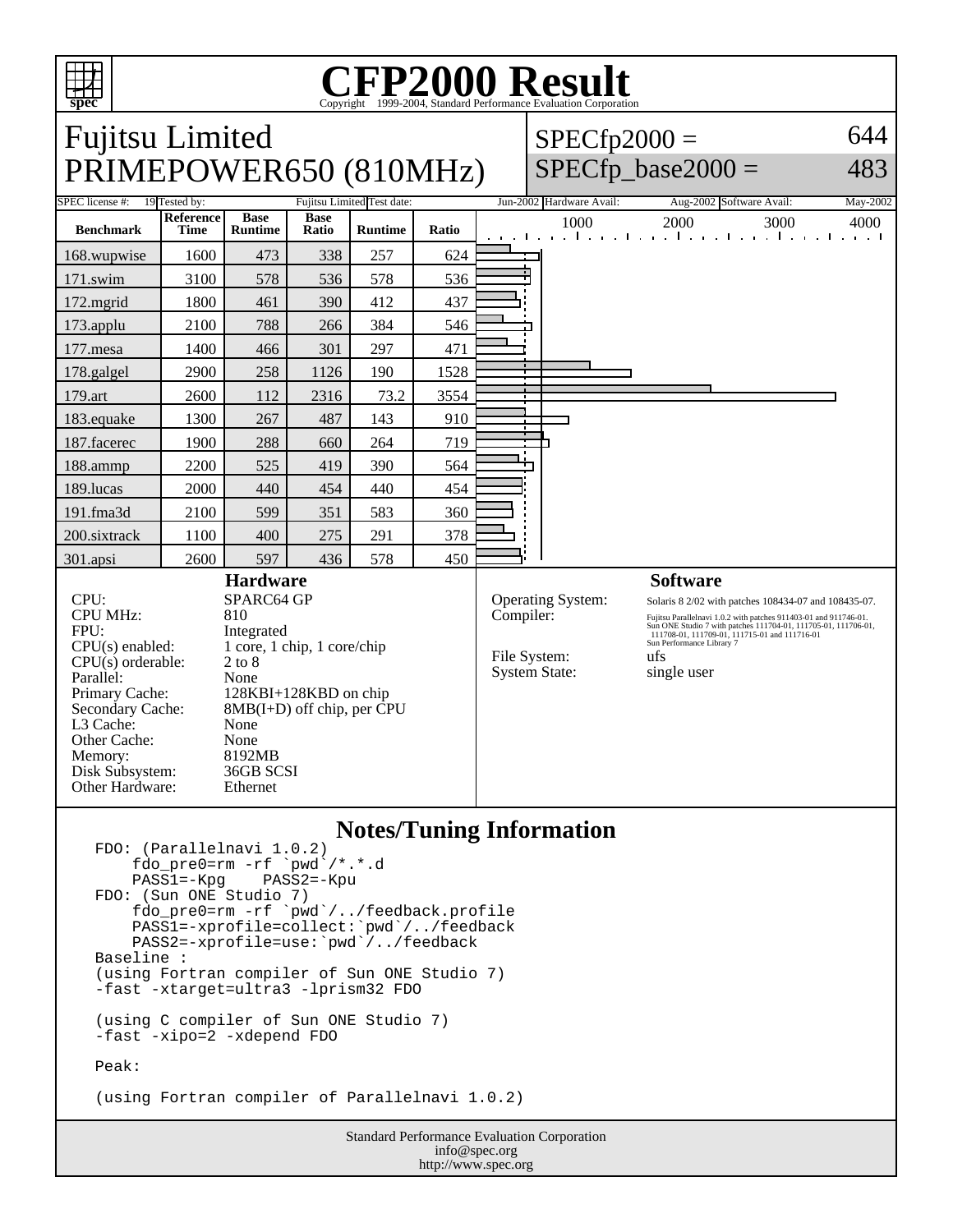

#### **CFP2000 Result** Copyright  $©1999-2004$ , Standard P

# Fujitsu Limited PRIMEPOWER650 (810MHz)

 $SPECfp2000 =$ 

644

## $SPECfp\_base2000 =$

483 SPEC license #: 19 Tested by: Fujitsu Limited Test date: Jun-2002 Hardware Avail: Aug-2002 Software Avail: May-2002 **Benchmark Reference Time Base Runtime Base Runtime Ratio** 1000 2000 3000 4000 168.wupwise 1600 473 338 257 624 171.swim | 3100 | 578 | 536 | 578 | 536 172.mgrid | 1800 | 461 | 390 | 412 | 437 173.applu | 2100 | 788 | 266 | 384 | 546 177.mesa | 1400 | 466 | 301 | 297 | 471 178.galgel | 2900 | 258 | 1126 | 190 | 1528 179.art 2600 112 2316 73.2 3554 183.equake 1300 267 487 143 910 187.facerec | 1900 | 288 | 660 | 264 | 719 188.ammp | 2200 | 525 | 419 | 390 | 564 189.lucas | 2000 | 440 | 454 440 | 454 191.fma3d | 2100 | 599 | 351 | 583 | 360 200.sixtrack 1100 400 275 291 378 301.apsi 2600 597 436 578 450 **Hardware** CPU: SPARC64 GP CPU MHz: 810 FPU: Integrated CPU(s) enabled: 1 core, 1 chip, 1 core/chip  $CPU(s)$  orderable:  $2 to 8$ Parallel: None<br>Primary Cache: 128K 128KBI+128KBD on chip **Software** Operating System: Solaris 8 2/02 with patches 108434-07 and 108435-07. Compiler: Fujitsu Parallelnavi 1.0.2 with patches 911403-01 and 911746-01.<br>
Sun ONE Studio 7 with patches 111704-01, 111705-01, 111706-01,<br>
111708-01, 111708-01, 111708-01, 111715-01<br>
Sun Performance Library 7 File System: ufs System State: single user

### **Notes/Tuning Information**

```
FDO: (Parallelnavi 1.0.2)
    fdo_pre0=rm -rf `pwd<sup>`</sup>/*.*.d<br>PASS1=-Kpg PASS2=-Kpu
    PASS1=-KpgFDO: (Sun ONE Studio 7)
 fdo_pre0=rm -rf `pwd`/../feedback.profile
 PASS1=-xprofile=collect:`pwd`/../feedback
 PASS2=-xprofile=use:`pwd`/../feedback
Baseline :
(using Fortran compiler of Sun ONE Studio 7)
-fast -xtarget=ultra3 -lprism32 FDO
(using C compiler of Sun ONE Studio 7)
-fast -xipo=2 -xdepend FDO
Peak:
```
Secondary Cache: 8MB(I+D) off chip, per CPU

L3 Cache: None Other Cache: None Memory: 8192MB Disk Subsystem: 36GB SCSI Other Hardware: Ethernet

(using Fortran compiler of Parallelnavi 1.0.2)

Standard Performance Evaluation Corporation info@spec.org http://www.spec.org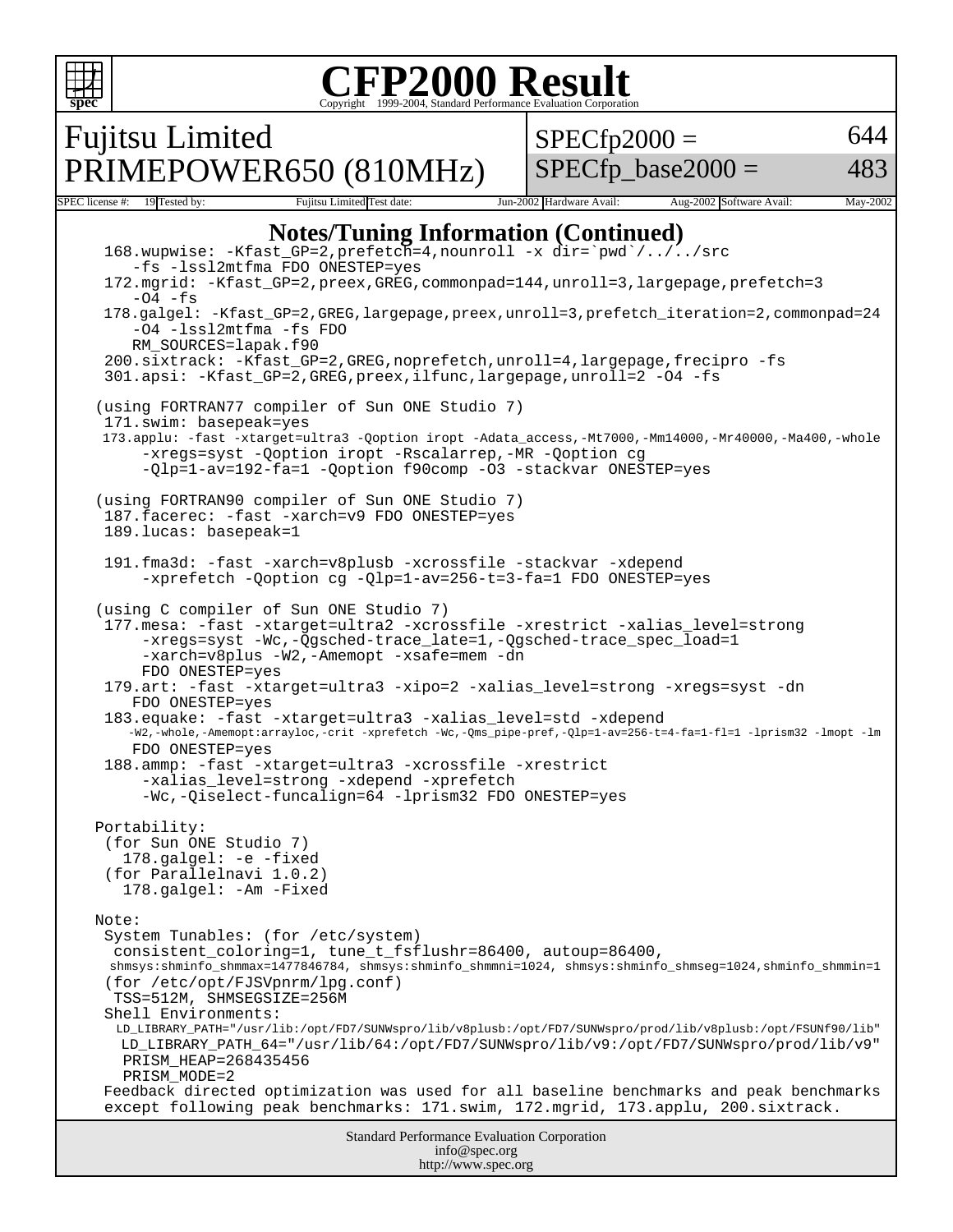

Standard Performance Evaluation Corporation info@spec.org http://www.spec.org